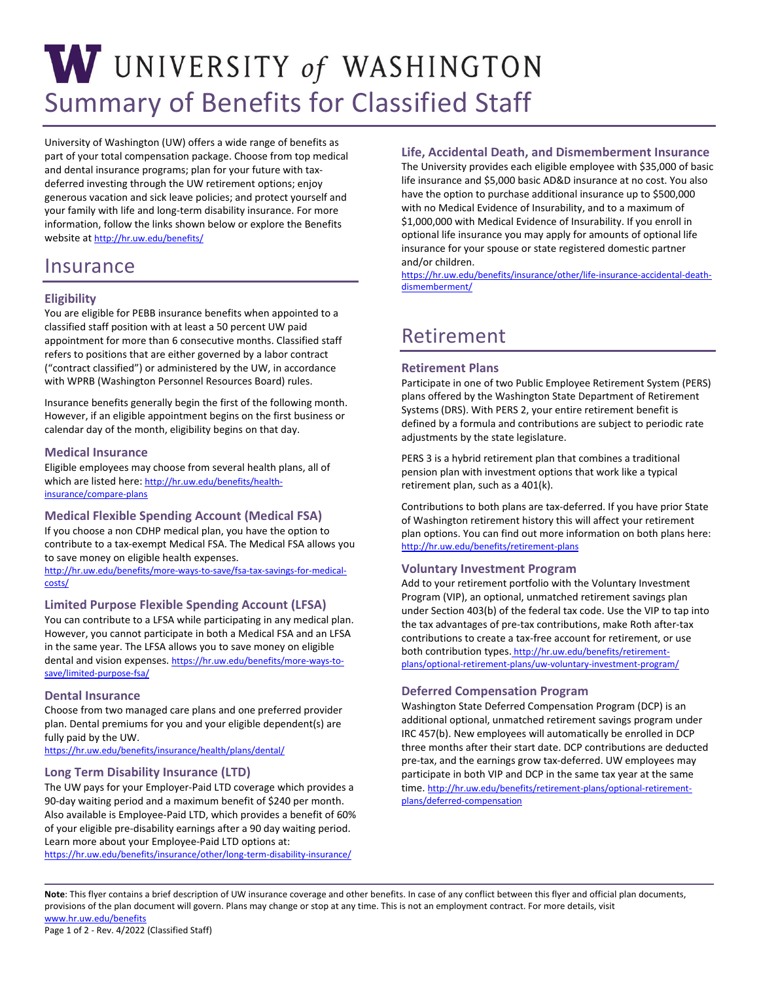# W UNIVERSITY of WASHINGTON Summary of Benefits for Classified Staff

University of Washington (UW) offers a wide range of benefits as part of your total compensation package. Choose from top medical and dental insurance programs; plan for your future with taxdeferred investing through the UW retirement options; enjoy generous vacation and sick leave policies; and protect yourself and your family with life and long-term disability insurance. For more information, follow the links shown below or explore the Benefits website a[t http://hr.uw.edu/benefits/](http://hr.uw.edu/benefits/) 

# Insurance

# **Eligibility**

 classified staff position with at least a 50 percent UW paid with WPRB (Washington Personnel Resources Board) rules. You are eligible for PEBB insurance benefits when appointed to a appointment for more than 6 consecutive months. Classified staff refers to positions that are either governed by a labor contract ("contract classified") or administered by the UW, in accordance

Insurance benefits generally begin the first of the following month. However, if an eligible appointment begins on the first business or calendar day of the month, eligibility begins on that day.

## **Medical Insurance**

Eligible employees may choose from several health plans, all of which are listed here: [http://hr.uw.edu/benefits/health](http://hr.uw.edu/benefits/health-insurance/compare-plans)[insurance/compare-plans](http://hr.uw.edu/benefits/health-insurance/compare-plans) 

# **Medical Flexible Spending Account (Medical FSA)**

 contribute to a tax-exempt Medical FSA. The Medical FSA allows you to save money on eligible health expenses. If you choose a non CDHP medical plan, you have the option to

[http://hr.uw.edu/benefits/more-ways-to-save/fsa-tax-savings-for-medical](http://hr.uw.edu/benefits/more-ways-to-save/fsa-tax-savings-for-medical-costs/)[costs/](http://hr.uw.edu/benefits/more-ways-to-save/fsa-tax-savings-for-medical-costs/) 

## **Limited Purpose Flexible Spending Account (LFSA)**

 in the same year. The LFSA allows you to save money on eligible dental and vision expenses[. https://hr.uw.edu/benefits/more-ways-to-](https://hr.uw.edu/benefits/more-ways-to-save/limited-purpose-fsa/)You can contribute to a LFSA while participating in any medical plan. However, you cannot participate in both a Medical FSA and an LFSA [save/limited-purpose-fsa/](https://hr.uw.edu/benefits/more-ways-to-save/limited-purpose-fsa/) 

#### **Dental Insurance**

Choose from two managed care plans and one preferred provider plan. Dental premiums for you and your eligible dependent(s) are fully paid by the UW.

<https://hr.uw.edu/benefits/insurance/health/plans/dental/>

#### **Long Term Disability Insurance (LTD)**

The UW pays for your Employer-Paid LTD coverage which provides a 90-day waiting period and a maximum benefit of \$240 per month. Also available is Employee-Paid LTD, which provides a benefit of 60% of your eligible pre-disability earnings after a 90 day waiting period. Learn more about your Employee-Paid LTD options at:

<https://hr.uw.edu/benefits/insurance/other/long-term-disability-insurance/>

# **Life, Accidental Death, and Dismemberment Insurance**

The University provides each eligible employee with \$35,000 of basic life insurance and \$5,000 basic AD&D insurance at no cost. You also have the option to purchase additional insurance up to \$500,000 with no Medical Evidence of Insurability, and to a maximum of \$1,000,000 with Medical Evidence of Insurability. If you enroll in optional life insurance you may apply for amounts of optional life insurance for your spouse or state registered domestic partner and/or children.

[https://hr.uw.edu/benefits/insurance/other/life-insurance-accidental-death](https://hr.uw.edu/benefits/insurance/other/life-insurance-accidental-death-dismemberment/)[dismemberment/](https://hr.uw.edu/benefits/insurance/other/life-insurance-accidental-death-dismemberment/) 

# Retirement

## **Retirement Plans**

 plans offered by the Washington State Department of Retirement defined by a formula and contributions are subject to periodic rate Participate in one of two Public Employee Retirement System (PERS) Systems (DRS). With PERS 2, your entire retirement benefit is adjustments by the state legislature.

 PERS 3 is a hybrid retirement plan that combines a traditional pension plan with investment options that work like a typical retirement plan, such as a 401(k).

Contributions to both plans are tax-deferred. If you have prior State of Washington retirement history this will affect your retirement plan options. You can find out more information on both plans here: <http://hr.uw.edu/benefits/retirement-plans>

#### **Voluntary Investment Program**

 Program (VIP), an optional, unmatched retirement savings plan [plans/optional-retirement-plans/uw-voluntary-investment-program/](http://hr.uw.edu/benefits/retirement-plans/optional-retirement-plans/uw-voluntary-investment-program/) Add to your retirement portfolio with the Voluntary Investment under Section 403(b) of the federal tax code. Use the VIP to tap into the tax advantages of pre-tax contributions, make Roth after-tax contributions to create a tax-free account for retirement, or use both contribution types[. http://hr.uw.edu/benefits/retirement-](http://hr.uw.edu/benefits/retirement-plans/optional-retirement-plans/uw-voluntary-investment-program/)

# **Deferred Compensation Program**

Washington State Deferred Compensation Program (DCP) is an additional optional, unmatched retirement savings program under IRC 457(b). New employees will automatically be enrolled in DCP three months after their start date. DCP contributions are deducted pre-tax, and the earnings grow tax-deferred. UW employees may participate in both VIP and DCP in the same tax year at the same time[. http://hr.uw.edu/benefits/retirement-plans/optional-retirement](http://hr.uw.edu/benefits/retirement-plans/optional-retirement-plans/deferred-compensation)[plans/deferred-compensation](http://hr.uw.edu/benefits/retirement-plans/optional-retirement-plans/deferred-compensation) 

 **Note**: This flyer contains a brief description of UW insurance coverage and other benefits. In case of any conflict between this flyer and official plan documents, provisions of the plan document will govern. Plans may change or stop at any time. This is not an employment contract. For more details, visit [www.hr.uw.edu/benefits](http://www.hr.uw.edu/benefits)